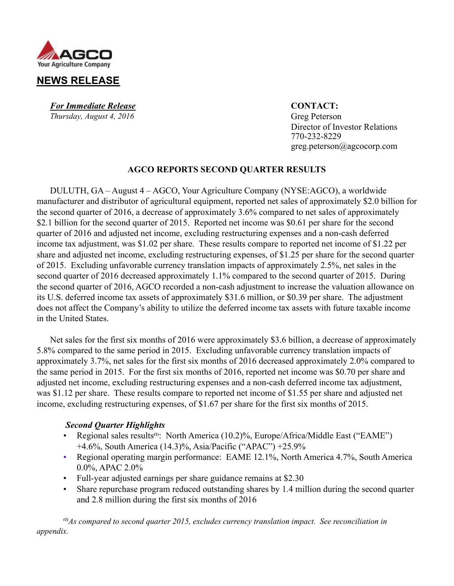

# **NEWS RELEASE**

*For Immediate Release* **CONTACT:** *Thursday, August 4, 2016* Greg Peterson

Director of Investor Relations 770-232-8229 greg.peterson@agcocorp.com

## **AGCO REPORTS SECOND QUARTER RESULTS**

DULUTH, GA – August 4 – AGCO, Your Agriculture Company (NYSE:AGCO), a worldwide manufacturer and distributor of agricultural equipment, reported net sales of approximately \$2.0 billion for the second quarter of 2016, a decrease of approximately 3.6% compared to net sales of approximately \$2.1 billion for the second quarter of 2015. Reported net income was \$0.61 per share for the second quarter of 2016 and adjusted net income, excluding restructuring expenses and a non-cash deferred income tax adjustment, was \$1.02 per share. These results compare to reported net income of \$1.22 per share and adjusted net income, excluding restructuring expenses, of \$1.25 per share for the second quarter of 2015. Excluding unfavorable currency translation impacts of approximately 2.5%, net sales in the second quarter of 2016 decreased approximately 1.1% compared to the second quarter of 2015. During the second quarter of 2016, AGCO recorded a non-cash adjustment to increase the valuation allowance on its U.S. deferred income tax assets of approximately \$31.6 million, or \$0.39 per share. The adjustment does not affect the Company's ability to utilize the deferred income tax assets with future taxable income in the United States.

Net sales for the first six months of 2016 were approximately \$3.6 billion, a decrease of approximately 5.8% compared to the same period in 2015. Excluding unfavorable currency translation impacts of approximately 3.7%, net sales for the first six months of 2016 decreased approximately 2.0% compared to the same period in 2015. For the first six months of 2016, reported net income was \$0.70 per share and adjusted net income, excluding restructuring expenses and a non-cash deferred income tax adjustment, was \$1.12 per share. These results compare to reported net income of \$1.55 per share and adjusted net income, excluding restructuring expenses, of \$1.67 per share for the first six months of 2015.

### *Second Quarter Highlights*

- Regional sales results**(1)**: North America (10.2)%, Europe/Africa/Middle East ("EAME") +4.6%, South America (14.3)%, Asia/Pacific ("APAC") +25.9%
- Regional operating margin performance: EAME 12.1%, North America 4.7%, South America 0.0%, APAC 2.0%
- Full-year adjusted earnings per share guidance remains at \$2.30
- Share repurchase program reduced outstanding shares by 1.4 million during the second quarter and 2.8 million during the first six months of 2016

*(1)As compared to second quarter 2015, excludes currency translation impact. See reconciliation in appendix.*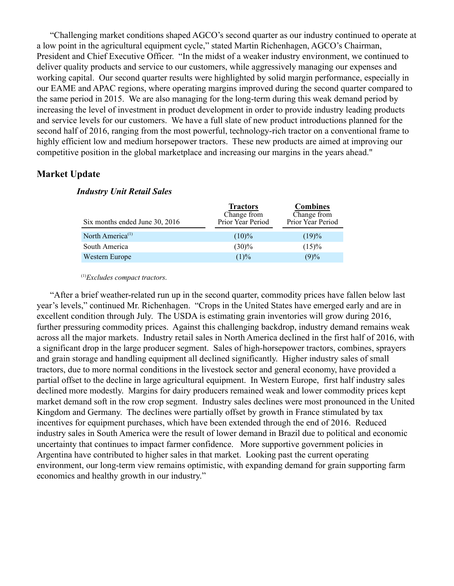"Challenging market conditions shaped AGCO's second quarter as our industry continued to operate at a low point in the agricultural equipment cycle," stated Martin Richenhagen, AGCO's Chairman, President and Chief Executive Officer. "In the midst of a weaker industry environment, we continued to deliver quality products and service to our customers, while aggressively managing our expenses and working capital. Our second quarter results were highlighted by solid margin performance, especially in our EAME and APAC regions, where operating margins improved during the second quarter compared to the same period in 2015. We are also managing for the long-term during this weak demand period by increasing the level of investment in product development in order to provide industry leading products and service levels for our customers. We have a full slate of new product introductions planned for the second half of 2016, ranging from the most powerful, technology-rich tractor on a conventional frame to highly efficient low and medium horsepower tractors. These new products are aimed at improving our competitive position in the global marketplace and increasing our margins in the years ahead."

## **Market Update**

| Six months ended June 30, 2016 | <b>Tractors</b><br>Change from<br>Prior Year Period | <b>Combines</b><br>Change from<br>Prior Year Period |
|--------------------------------|-----------------------------------------------------|-----------------------------------------------------|
| North America <sup>(1)</sup>   | $(10)\%$                                            | (19)%                                               |
| South America                  | $(30)\%$                                            | $(15)\%$                                            |
| Western Europe                 | $(1)\%$                                             | (9)%                                                |

### *Industry Unit Retail Sales*

#### (1)*Excludes compact tractors.*

"After a brief weather-related run up in the second quarter, commodity prices have fallen below last year's levels," continued Mr. Richenhagen. "Crops in the United States have emerged early and are in excellent condition through July. The USDA is estimating grain inventories will grow during 2016, further pressuring commodity prices. Against this challenging backdrop, industry demand remains weak across all the major markets. Industry retail sales in North America declined in the first half of 2016, with a significant drop in the large producer segment. Sales of high-horsepower tractors, combines, sprayers and grain storage and handling equipment all declined significantly. Higher industry sales of small tractors, due to more normal conditions in the livestock sector and general economy, have provided a partial offset to the decline in large agricultural equipment. In Western Europe, first half industry sales declined more modestly. Margins for dairy producers remained weak and lower commodity prices kept market demand soft in the row crop segment. Industry sales declines were most pronounced in the United Kingdom and Germany. The declines were partially offset by growth in France stimulated by tax incentives for equipment purchases, which have been extended through the end of 2016. Reduced industry sales in South America were the result of lower demand in Brazil due to political and economic uncertainty that continues to impact farmer confidence. More supportive government policies in Argentina have contributed to higher sales in that market. Looking past the current operating environment, our long-term view remains optimistic, with expanding demand for grain supporting farm economics and healthy growth in our industry."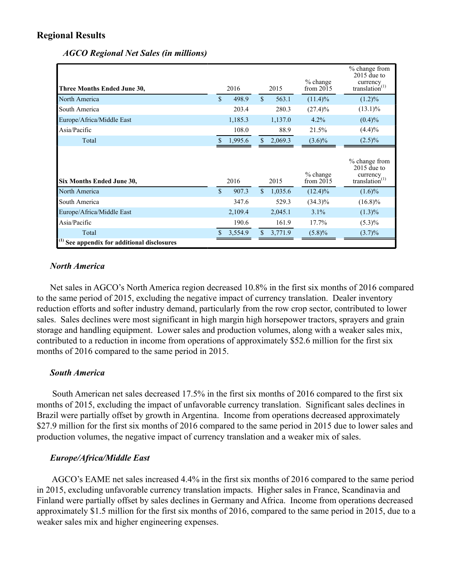## **Regional Results**

| Three Months Ended June 30,                                             |              | 2016    |               | 2015    | $%$ change<br>from $2015$ | % change from<br>$2015$ due to<br>currency<br>translation $^{(1)}$ |
|-------------------------------------------------------------------------|--------------|---------|---------------|---------|---------------------------|--------------------------------------------------------------------|
| North America                                                           | $\mathbf{s}$ | 498.9   | $\mathcal{S}$ | 563.1   | $(11.4)\%$                | $(1.2)\%$                                                          |
| South America                                                           |              | 203.4   |               | 280.3   | $(27.4)\%$                | $(13.1)\%$                                                         |
| Europe/Africa/Middle East                                               |              | 1,185.3 |               | 1,137.0 | 4.2%                      | $(0.4)\%$                                                          |
| Asia/Pacific                                                            |              | 108.0   |               | 88.9    | 21.5%                     | (4.4)%                                                             |
| Total                                                                   | \$           | 1,995.6 | \$            | 2,069.3 | $(3.6)\%$                 | $(2.5)\%$                                                          |
| Six Months Ended June 30,                                               |              | 2016    |               | 2015    | $%$ change<br>from $2015$ | % change from<br>$2015$ due to<br>currency<br>translation $(1)$    |
| North America                                                           | $\mathbf{s}$ | 907.3   | $\mathbb{S}$  | 1,035.6 | $(12.4)\%$                | $(1.6)\%$                                                          |
| South America                                                           |              | 347.6   |               | 529.3   | $(34.3)\%$                | $(16.8)\%$                                                         |
| Europe/Africa/Middle East                                               |              | 2,109.4 |               | 2,045.1 | $3.1\%$                   | $(1.3)\%$                                                          |
| Asia/Pacific                                                            |              | 190.6   |               | 161.9   | 17.7%                     | $(5.3)\%$                                                          |
| Total                                                                   |              | 3,554.9 | <sup>S</sup>  | 3,771.9 | $(5.8)\%$                 | $(3.7)\%$                                                          |
| $\left  \right $ <sup>(1)</sup> See appendix for additional disclosures |              |         |               |         |                           |                                                                    |

 *AGCO Regional Net Sales (in millions)*

## *North America*

Net sales in AGCO's North America region decreased 10.8% in the first six months of 2016 compared to the same period of 2015, excluding the negative impact of currency translation. Dealer inventory reduction efforts and softer industry demand, particularly from the row crop sector, contributed to lower sales. Sales declines were most significant in high margin high horsepower tractors, sprayers and grain storage and handling equipment. Lower sales and production volumes, along with a weaker sales mix, contributed to a reduction in income from operations of approximately \$52.6 million for the first six months of 2016 compared to the same period in 2015.

## *South America*

 South American net sales decreased 17.5% in the first six months of 2016 compared to the first six months of 2015, excluding the impact of unfavorable currency translation. Significant sales declines in Brazil were partially offset by growth in Argentina. Income from operations decreased approximately \$27.9 million for the first six months of 2016 compared to the same period in 2015 due to lower sales and production volumes, the negative impact of currency translation and a weaker mix of sales.

### *Europe/Africa/Middle East*

AGCO's EAME net sales increased 4.4% in the first six months of 2016 compared to the same period in 2015, excluding unfavorable currency translation impacts. Higher sales in France, Scandinavia and Finland were partially offset by sales declines in Germany and Africa. Income from operations decreased approximately \$1.5 million for the first six months of 2016, compared to the same period in 2015, due to a weaker sales mix and higher engineering expenses.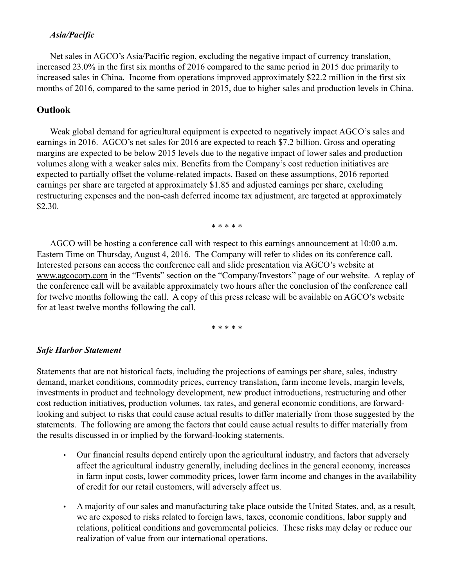### *Asia/Pacific*

Net sales in AGCO's Asia/Pacific region, excluding the negative impact of currency translation, increased 23.0% in the first six months of 2016 compared to the same period in 2015 due primarily to increased sales in China. Income from operations improved approximately \$22.2 million in the first six months of 2016, compared to the same period in 2015, due to higher sales and production levels in China.

### **Outlook**

Weak global demand for agricultural equipment is expected to negatively impact AGCO's sales and earnings in 2016. AGCO's net sales for 2016 are expected to reach \$7.2 billion. Gross and operating margins are expected to be below 2015 levels due to the negative impact of lower sales and production volumes along with a weaker sales mix. Benefits from the Company's cost reduction initiatives are expected to partially offset the volume-related impacts. Based on these assumptions, 2016 reported earnings per share are targeted at approximately \$1.85 and adjusted earnings per share, excluding restructuring expenses and the non-cash deferred income tax adjustment, are targeted at approximately \$2.30.

\* \* \* \* \*

AGCO will be hosting a conference call with respect to this earnings announcement at 10:00 a.m. Eastern Time on Thursday, August 4, 2016. The Company will refer to slides on its conference call. Interested persons can access the conference call and slide presentation via AGCO's website at www.agcocorp.com in the "Events" section on the "Company/Investors" page of our website. A replay of the conference call will be available approximately two hours after the conclusion of the conference call for twelve months following the call. A copy of this press release will be available on AGCO's website for at least twelve months following the call.

\* \* \* \* \*

### *Safe Harbor Statement*

Statements that are not historical facts, including the projections of earnings per share, sales, industry demand, market conditions, commodity prices, currency translation, farm income levels, margin levels, investments in product and technology development, new product introductions, restructuring and other cost reduction initiatives, production volumes, tax rates, and general economic conditions, are forwardlooking and subject to risks that could cause actual results to differ materially from those suggested by the statements. The following are among the factors that could cause actual results to differ materially from the results discussed in or implied by the forward-looking statements.

- Our financial results depend entirely upon the agricultural industry, and factors that adversely affect the agricultural industry generally, including declines in the general economy, increases in farm input costs, lower commodity prices, lower farm income and changes in the availability of credit for our retail customers, will adversely affect us.
- A majority of our sales and manufacturing take place outside the United States, and, as a result, we are exposed to risks related to foreign laws, taxes, economic conditions, labor supply and relations, political conditions and governmental policies. These risks may delay or reduce our realization of value from our international operations.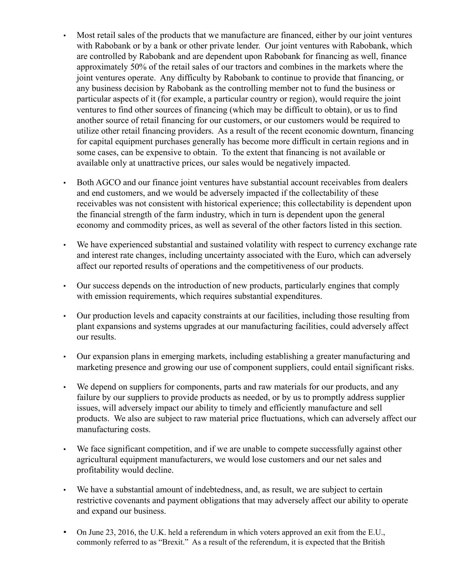- Most retail sales of the products that we manufacture are financed, either by our joint ventures with Rabobank or by a bank or other private lender. Our joint ventures with Rabobank, which are controlled by Rabobank and are dependent upon Rabobank for financing as well, finance approximately 50% of the retail sales of our tractors and combines in the markets where the joint ventures operate. Any difficulty by Rabobank to continue to provide that financing, or any business decision by Rabobank as the controlling member not to fund the business or particular aspects of it (for example, a particular country or region), would require the joint ventures to find other sources of financing (which may be difficult to obtain), or us to find another source of retail financing for our customers, or our customers would be required to utilize other retail financing providers. As a result of the recent economic downturn, financing for capital equipment purchases generally has become more difficult in certain regions and in some cases, can be expensive to obtain. To the extent that financing is not available or available only at unattractive prices, our sales would be negatively impacted.
- Both AGCO and our finance joint ventures have substantial account receivables from dealers and end customers, and we would be adversely impacted if the collectability of these receivables was not consistent with historical experience; this collectability is dependent upon the financial strength of the farm industry, which in turn is dependent upon the general economy and commodity prices, as well as several of the other factors listed in this section.
- We have experienced substantial and sustained volatility with respect to currency exchange rate and interest rate changes, including uncertainty associated with the Euro, which can adversely affect our reported results of operations and the competitiveness of our products.
- Our success depends on the introduction of new products, particularly engines that comply with emission requirements, which requires substantial expenditures.
- Our production levels and capacity constraints at our facilities, including those resulting from plant expansions and systems upgrades at our manufacturing facilities, could adversely affect our results.
- Our expansion plans in emerging markets, including establishing a greater manufacturing and marketing presence and growing our use of component suppliers, could entail significant risks.
- We depend on suppliers for components, parts and raw materials for our products, and any failure by our suppliers to provide products as needed, or by us to promptly address supplier issues, will adversely impact our ability to timely and efficiently manufacture and sell products. We also are subject to raw material price fluctuations, which can adversely affect our manufacturing costs.
- We face significant competition, and if we are unable to compete successfully against other agricultural equipment manufacturers, we would lose customers and our net sales and profitability would decline.
- We have a substantial amount of indebtedness, and, as result, we are subject to certain restrictive covenants and payment obligations that may adversely affect our ability to operate and expand our business.
- On June 23, 2016, the U.K. held a referendum in which voters approved an exit from the E.U., commonly referred to as "Brexit." As a result of the referendum, it is expected that the British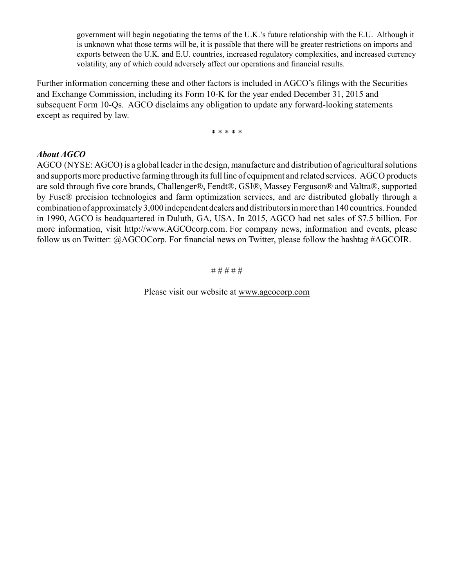government will begin negotiating the terms of the U.K.'s future relationship with the E.U. Although it is unknown what those terms will be, it is possible that there will be greater restrictions on imports and exports between the U.K. and E.U. countries, increased regulatory complexities, and increased currency volatility, any of which could adversely affect our operations and financial results.

Further information concerning these and other factors is included in AGCO's filings with the Securities and Exchange Commission, including its Form 10-K for the year ended December 31, 2015 and subsequent Form 10-Qs. AGCO disclaims any obligation to update any forward-looking statements except as required by law.

\* \* \* \* \*

## *About AGCO*

AGCO (NYSE: AGCO) is a global leader in the design, manufacture and distribution of agricultural solutions and supports more productive farming through its full line of equipment and related services. AGCO products are sold through five core brands, Challenger®, Fendt®, GSI®, Massey Ferguson® and Valtra®, supported by Fuse® precision technologies and farm optimization services, and are distributed globally through a combination of approximately 3,000 independent dealers and distributors in more than 140 countries. Founded in 1990, AGCO is headquartered in Duluth, GA, USA. In 2015, AGCO had net sales of \$7.5 billion. For more information, visit http://www.AGCOcorp.com. For company news, information and events, please follow us on Twitter: @AGCOCorp. For financial news on Twitter, please follow the hashtag #AGCOIR.

# # # # #

Please visit our website at www.agcocorp.com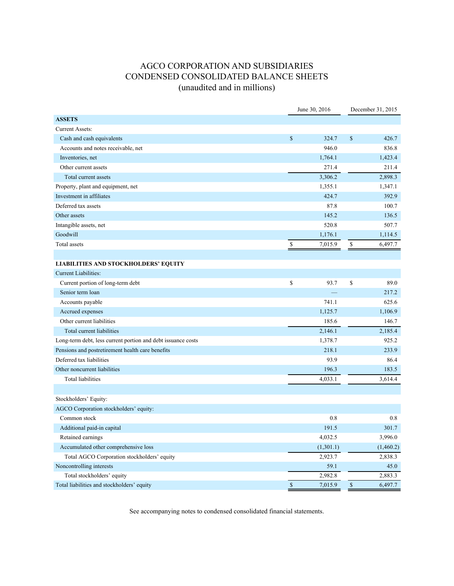## AGCO CORPORATION AND SUBSIDIARIES CONDENSED CONSOLIDATED BALANCE SHEETS (unaudited and in millions)

|                                                              |                                                                       | June 30, 2016 |              | December 31, 2015 |
|--------------------------------------------------------------|-----------------------------------------------------------------------|---------------|--------------|-------------------|
| <b>ASSETS</b>                                                |                                                                       |               |              |                   |
| <b>Current Assets:</b>                                       |                                                                       |               |              |                   |
| Cash and cash equivalents                                    | $\mathbb{S}$                                                          | 324.7         | $\mathbb{S}$ | 426.7             |
| Accounts and notes receivable, net                           |                                                                       | 946.0         |              | 836.8             |
| Inventories, net                                             |                                                                       | 1,764.1       |              | 1,423.4           |
| Other current assets                                         |                                                                       | 271.4         |              | 211.4             |
| Total current assets                                         |                                                                       | 3,306.2       |              | 2,898.3           |
| Property, plant and equipment, net                           |                                                                       | 1,355.1       |              | 1,347.1           |
| Investment in affiliates                                     |                                                                       | 424.7         |              | 392.9             |
| Deferred tax assets                                          |                                                                       | 87.8          |              | 100.7             |
| Other assets                                                 |                                                                       | 145.2         |              | 136.5             |
| Intangible assets, net                                       |                                                                       | 520.8         |              | 507.7             |
| Goodwill                                                     |                                                                       | 1,176.1       |              | 1,114.5           |
| Total assets                                                 | $\mathbb{S}% _{t}\left( t\right) \equiv\mathbb{S}_{t}\left( t\right)$ | 7,015.9       | \$           | 6,497.7           |
|                                                              |                                                                       |               |              |                   |
| <b>LIABILITIES AND STOCKHOLDERS' EQUITY</b>                  |                                                                       |               |              |                   |
| <b>Current Liabilities:</b>                                  |                                                                       |               |              |                   |
| Current portion of long-term debt                            | \$                                                                    | 93.7          | \$           | 89.0              |
| Senior term loan                                             |                                                                       |               |              | 217.2             |
| Accounts payable                                             |                                                                       | 741.1         |              | 625.6             |
| Accrued expenses                                             |                                                                       | 1,125.7       |              | 1,106.9           |
| Other current liabilities                                    |                                                                       | 185.6         |              | 146.7             |
| Total current liabilities                                    |                                                                       | 2,146.1       |              | 2,185.4           |
| Long-term debt, less current portion and debt issuance costs |                                                                       | 1,378.7       |              | 925.2             |
| Pensions and postretirement health care benefits             |                                                                       | 218.1         |              | 233.9             |
| Deferred tax liabilities                                     |                                                                       | 93.9          |              | 86.4              |
| Other noncurrent liabilities                                 |                                                                       | 196.3         |              | 183.5             |
| Total liabilities                                            |                                                                       | 4,033.1       |              | 3,614.4           |
|                                                              |                                                                       |               |              |                   |
| Stockholders' Equity:                                        |                                                                       |               |              |                   |
| AGCO Corporation stockholders' equity:                       |                                                                       |               |              |                   |
| Common stock                                                 |                                                                       | 0.8           |              | 0.8               |
| Additional paid-in capital                                   |                                                                       | 191.5         |              | 301.7             |
| Retained earnings                                            |                                                                       | 4,032.5       |              | 3,996.0           |
| Accumulated other comprehensive loss                         |                                                                       | (1,301.1)     |              | (1,460.2)         |
| Total AGCO Corporation stockholders' equity                  |                                                                       | 2,923.7       |              | 2,838.3           |
| Noncontrolling interests                                     |                                                                       | 59.1          |              | 45.0              |
| Total stockholders' equity                                   |                                                                       | 2,982.8       |              | 2,883.3           |
| Total liabilities and stockholders' equity                   | \$                                                                    | 7,015.9       | $\mathbb{S}$ | 6,497.7           |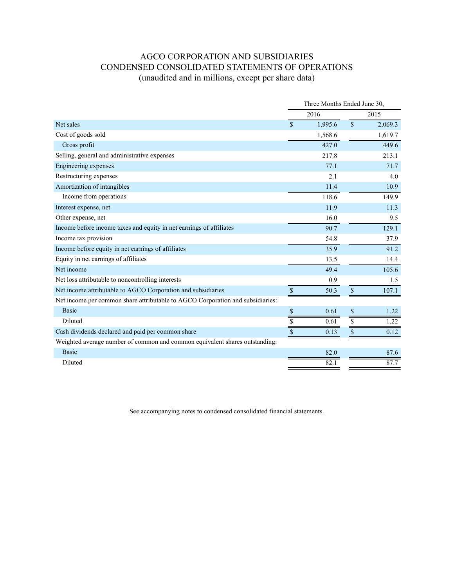## AGCO CORPORATION AND SUBSIDIARIES CONDENSED CONSOLIDATED STATEMENTS OF OPERATIONS (unaudited and in millions, except per share data)

|                                                                                |                    | Three Months Ended June 30, |                    |         |
|--------------------------------------------------------------------------------|--------------------|-----------------------------|--------------------|---------|
|                                                                                |                    | 2016                        |                    | 2015    |
| Net sales                                                                      | $\mathbf{\hat{S}}$ | 1,995.6                     | $\mathbf{\hat{S}}$ | 2,069.3 |
| Cost of goods sold                                                             |                    | 1,568.6                     |                    | 1,619.7 |
| Gross profit                                                                   |                    | 427.0                       |                    | 449.6   |
| Selling, general and administrative expenses                                   |                    | 217.8                       |                    | 213.1   |
| Engineering expenses                                                           |                    | 77.1                        |                    | 71.7    |
| Restructuring expenses                                                         |                    | 2.1                         |                    | 4.0     |
| Amortization of intangibles                                                    |                    | 11.4                        |                    | 10.9    |
| Income from operations                                                         |                    | 118.6                       |                    | 149.9   |
| Interest expense, net                                                          |                    | 11.9                        |                    | 11.3    |
| Other expense, net                                                             |                    | 16.0                        |                    | 9.5     |
| Income before income taxes and equity in net earnings of affiliates            |                    | 90.7                        |                    | 129.1   |
| Income tax provision                                                           |                    | 54.8                        |                    | 37.9    |
| Income before equity in net earnings of affiliates                             |                    | 35.9                        |                    | 91.2    |
| Equity in net earnings of affiliates                                           |                    | 13.5                        |                    | 14.4    |
| Net income                                                                     |                    | 49.4                        |                    | 105.6   |
| Net loss attributable to noncontrolling interests                              |                    | 0.9                         |                    | 1.5     |
| Net income attributable to AGCO Corporation and subsidiaries                   | $\mathcal{S}$      | 50.3                        | \$                 | 107.1   |
| Net income per common share attributable to AGCO Corporation and subsidiaries: |                    |                             |                    |         |
| <b>Basic</b>                                                                   | \$                 | 0.61                        | \$                 | 1.22    |
| Diluted                                                                        | \$                 | 0.61                        | \$                 | 1.22    |
| Cash dividends declared and paid per common share                              | \$                 | 0.13                        | \$                 | 0.12    |
| Weighted average number of common and common equivalent shares outstanding:    |                    |                             |                    |         |
| <b>Basic</b>                                                                   |                    | 82.0                        |                    | 87.6    |
| Diluted                                                                        |                    | 82.1                        |                    | 87.7    |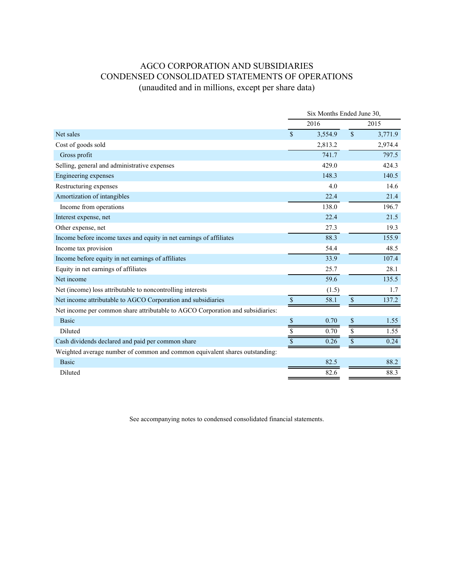## AGCO CORPORATION AND SUBSIDIARIES CONDENSED CONSOLIDATED STATEMENTS OF OPERATIONS (unaudited and in millions, except per share data)

|                                                                                |                    | Six Months Ended June 30, |                   |         |
|--------------------------------------------------------------------------------|--------------------|---------------------------|-------------------|---------|
|                                                                                |                    | 2016                      |                   | 2015    |
| Net sales                                                                      | $\mathbf{\hat{S}}$ | 3,554.9                   | \$                | 3,771.9 |
| Cost of goods sold                                                             |                    | 2,813.2                   |                   | 2,974.4 |
| Gross profit                                                                   |                    | 741.7                     |                   | 797.5   |
| Selling, general and administrative expenses                                   |                    | 429.0                     |                   | 424.3   |
| Engineering expenses                                                           |                    | 148.3                     |                   | 140.5   |
| Restructuring expenses                                                         |                    | 4.0                       |                   | 14.6    |
| Amortization of intangibles                                                    |                    | 22.4                      |                   | 21.4    |
| Income from operations                                                         |                    | 138.0                     |                   | 196.7   |
| Interest expense, net                                                          |                    | 22.4                      |                   | 21.5    |
| Other expense, net                                                             |                    | 27.3                      |                   | 19.3    |
| Income before income taxes and equity in net earnings of affiliates            |                    | 88.3                      |                   | 155.9   |
| Income tax provision                                                           |                    | 54.4                      |                   | 48.5    |
| Income before equity in net earnings of affiliates                             |                    | 33.9                      |                   | 107.4   |
| Equity in net earnings of affiliates                                           |                    | 25.7                      |                   | 28.1    |
| Net income                                                                     |                    | 59.6                      |                   | 135.5   |
| Net (income) loss attributable to noncontrolling interests                     |                    | (1.5)                     |                   | 1.7     |
| Net income attributable to AGCO Corporation and subsidiaries                   | \$                 | 58.1                      | \$                | 137.2   |
| Net income per common share attributable to AGCO Corporation and subsidiaries: |                    |                           |                   |         |
| <b>Basic</b>                                                                   | \$                 | 0.70                      | $\boldsymbol{\$}$ | 1.55    |
| Diluted                                                                        | \$                 | 0.70                      | \$                | 1.55    |
| Cash dividends declared and paid per common share                              | \$                 | 0.26                      | $\overline{\$}$   | 0.24    |
| Weighted average number of common and common equivalent shares outstanding:    |                    |                           |                   |         |
| <b>Basic</b>                                                                   |                    | 82.5                      |                   | 88.2    |
| Diluted                                                                        |                    | 82.6                      |                   | 88.3    |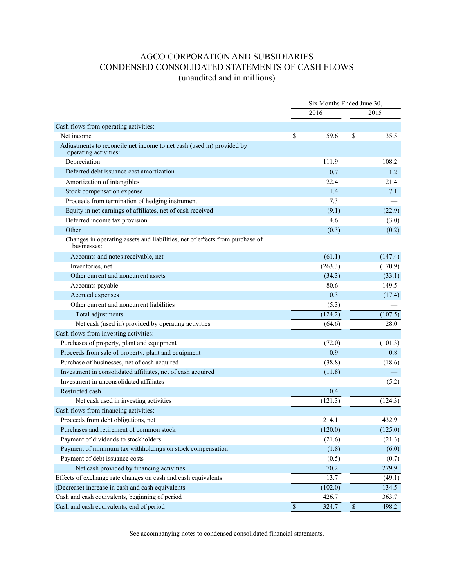## AGCO CORPORATION AND SUBSIDIARIES CONDENSED CONSOLIDATED STATEMENTS OF CASH FLOWS (unaudited and in millions)

|                                                                                                | Six Months Ended June 30, |         |                          |         |
|------------------------------------------------------------------------------------------------|---------------------------|---------|--------------------------|---------|
|                                                                                                |                           | 2016    |                          | 2015    |
| Cash flows from operating activities:                                                          |                           |         |                          |         |
| Net income                                                                                     | \$                        | 59.6    | \$                       | 135.5   |
| Adjustments to reconcile net income to net cash (used in) provided by<br>operating activities: |                           |         |                          |         |
| Depreciation                                                                                   |                           | 111.9   |                          | 108.2   |
| Deferred debt issuance cost amortization                                                       |                           | 0.7     |                          | 1.2     |
| Amortization of intangibles                                                                    |                           | 22.4    |                          | 21.4    |
| Stock compensation expense                                                                     |                           | 11.4    |                          | 7.1     |
| Proceeds from termination of hedging instrument                                                |                           | 7.3     |                          |         |
| Equity in net earnings of affiliates, net of cash received                                     |                           | (9.1)   |                          | (22.9)  |
| Deferred income tax provision                                                                  |                           | 14.6    |                          | (3.0)   |
| Other                                                                                          |                           | (0.3)   |                          | (0.2)   |
| Changes in operating assets and liabilities, net of effects from purchase of<br>businesses:    |                           |         |                          |         |
| Accounts and notes receivable, net                                                             |                           | (61.1)  |                          | (147.4) |
| Inventories, net                                                                               |                           | (263.3) |                          | (170.9) |
| Other current and noncurrent assets                                                            |                           | (34.3)  |                          | (33.1)  |
| Accounts payable                                                                               |                           | 80.6    |                          | 149.5   |
| Accrued expenses                                                                               |                           | 0.3     |                          | (17.4)  |
| Other current and noncurrent liabilities                                                       |                           | (5.3)   |                          |         |
| Total adjustments                                                                              |                           | (124.2) |                          | (107.5) |
| Net cash (used in) provided by operating activities                                            |                           | (64.6)  |                          | 28.0    |
| Cash flows from investing activities:                                                          |                           |         |                          |         |
| Purchases of property, plant and equipment                                                     |                           | (72.0)  |                          | (101.3) |
| Proceeds from sale of property, plant and equipment                                            |                           | 0.9     |                          | 0.8     |
| Purchase of businesses, net of cash acquired                                                   |                           | (38.8)  |                          | (18.6)  |
| Investment in consolidated affiliates, net of cash acquired                                    |                           | (11.8)  |                          |         |
| Investment in unconsolidated affiliates                                                        |                           |         |                          | (5.2)   |
| Restricted cash                                                                                |                           | 0.4     |                          |         |
| Net cash used in investing activities                                                          |                           | (121.3) |                          | (124.3) |
| Cash flows from financing activities:                                                          |                           |         |                          |         |
| Proceeds from debt obligations, net                                                            |                           | 214.1   |                          | 432.9   |
| Purchases and retirement of common stock                                                       |                           | (120.0) |                          | (125.0) |
| Payment of dividends to stockholders                                                           |                           | (21.6)  |                          | (21.3)  |
| Payment of minimum tax withholdings on stock compensation                                      |                           | (1.8)   |                          | (6.0)   |
| Payment of debt issuance costs                                                                 |                           | (0.5)   |                          | (0.7)   |
| Net cash provided by financing activities                                                      |                           | 70.2    |                          | 279.9   |
| Effects of exchange rate changes on cash and cash equivalents                                  |                           | 13.7    |                          | (49.1)  |
| (Decrease) increase in cash and cash equivalents                                               |                           | (102.0) |                          | 134.5   |
| Cash and cash equivalents, beginning of period                                                 |                           | 426.7   |                          | 363.7   |
| Cash and cash equivalents, end of period                                                       | $\overline{\mathcal{S}}$  | 324.7   | $\overline{\mathcal{S}}$ | 498.2   |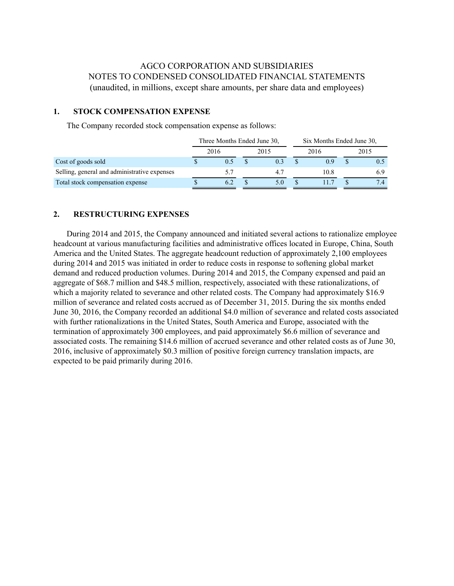## AGCO CORPORATION AND SUBSIDIARIES NOTES TO CONDENSED CONSOLIDATED FINANCIAL STATEMENTS (unaudited, in millions, except share amounts, per share data and employees)

### **1. STOCK COMPENSATION EXPENSE**

The Company recorded stock compensation expense as follows:

|                                              | Three Months Ended June 30, |      |  |             |  | Six Months Ended June 30, |  |      |  |
|----------------------------------------------|-----------------------------|------|--|-------------|--|---------------------------|--|------|--|
|                                              |                             | 2016 |  | 2015        |  | 2016                      |  | 2015 |  |
| Cost of goods sold                           |                             |      |  |             |  | 0.9                       |  | 0.5  |  |
| Selling, general and administrative expenses |                             |      |  | $4^{\circ}$ |  | 10.8                      |  | 6.9  |  |
| Total stock compensation expense             |                             | 6.2  |  | 50          |  |                           |  | 7.4  |  |

### **2. RESTRUCTURING EXPENSES**

During 2014 and 2015, the Company announced and initiated several actions to rationalize employee headcount at various manufacturing facilities and administrative offices located in Europe, China, South America and the United States. The aggregate headcount reduction of approximately 2,100 employees during 2014 and 2015 was initiated in order to reduce costs in response to softening global market demand and reduced production volumes. During 2014 and 2015, the Company expensed and paid an aggregate of \$68.7 million and \$48.5 million, respectively, associated with these rationalizations, of which a majority related to severance and other related costs. The Company had approximately \$16.9 million of severance and related costs accrued as of December 31, 2015. During the six months ended June 30, 2016, the Company recorded an additional \$4.0 million of severance and related costs associated with further rationalizations in the United States, South America and Europe, associated with the termination of approximately 300 employees, and paid approximately \$6.6 million of severance and associated costs. The remaining \$14.6 million of accrued severance and other related costs as of June 30, 2016, inclusive of approximately \$0.3 million of positive foreign currency translation impacts, are expected to be paid primarily during 2016.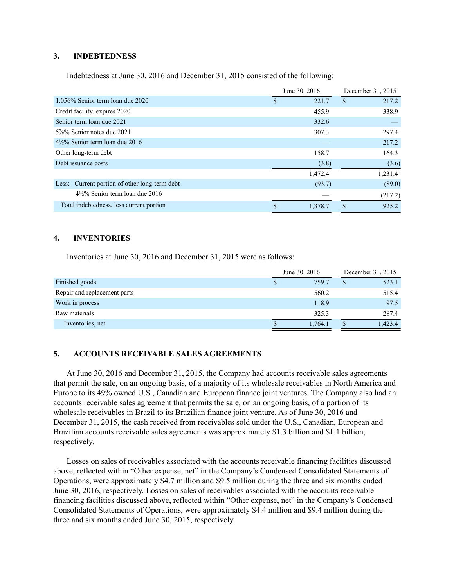#### **3. INDEBTEDNESS**

Indebtedness at June 30, 2016 and December 31, 2015 consisted of the following:

|                                               |    | June 30, 2016 | December 31, 2015 |         |  |
|-----------------------------------------------|----|---------------|-------------------|---------|--|
| 1.056% Senior term loan due 2020              | S. | 221.7         | \$.               | 217.2   |  |
| Credit facility, expires 2020                 |    | 455.9         |                   | 338.9   |  |
| Senior term loan due 2021                     |    | 332.6         |                   |         |  |
| $5\frac{7}{8}$ % Senior notes due 2021        |    | 307.3         |                   | 297.4   |  |
| $4\frac{1}{2}\%$ Senior term loan due 2016    |    |               |                   | 217.2   |  |
| Other long-term debt                          |    | 158.7         |                   | 164.3   |  |
| Debt issuance costs                           |    | (3.8)         |                   | (3.6)   |  |
|                                               |    | 1,472.4       |                   | 1,231.4 |  |
| Less: Current portion of other long-term debt |    | (93.7)        |                   | (89.0)  |  |
| $4\frac{1}{2}\%$ Senior term loan due 2016    |    |               |                   | (217.2) |  |
| Total indebtedness, less current portion      | \$ | 1,378.7       | S                 | 925.2   |  |

#### **4. INVENTORIES**

Inventories at June 30, 2016 and December 31, 2015 were as follows:

|                              | June 30, 2016 | December 31, 2015 |         |  |
|------------------------------|---------------|-------------------|---------|--|
| Finished goods               | 759.7         | S                 | 523.1   |  |
| Repair and replacement parts | 560.2         |                   | 515.4   |  |
| Work in process              | 118.9         |                   | 97.5    |  |
| Raw materials                | 325.3         |                   | 287.4   |  |
| Inventories, net             | 1,764.1       |                   | 1.423.4 |  |

#### **5. ACCOUNTS RECEIVABLE SALES AGREEMENTS**

At June 30, 2016 and December 31, 2015, the Company had accounts receivable sales agreements that permit the sale, on an ongoing basis, of a majority of its wholesale receivables in North America and Europe to its 49% owned U.S., Canadian and European finance joint ventures. The Company also had an accounts receivable sales agreement that permits the sale, on an ongoing basis, of a portion of its wholesale receivables in Brazil to its Brazilian finance joint venture. As of June 30, 2016 and December 31, 2015, the cash received from receivables sold under the U.S., Canadian, European and Brazilian accounts receivable sales agreements was approximately \$1.3 billion and \$1.1 billion, respectively.

Losses on sales of receivables associated with the accounts receivable financing facilities discussed above, reflected within "Other expense, net" in the Company's Condensed Consolidated Statements of Operations, were approximately \$4.7 million and \$9.5 million during the three and six months ended June 30, 2016, respectively. Losses on sales of receivables associated with the accounts receivable financing facilities discussed above, reflected within "Other expense, net" in the Company's Condensed Consolidated Statements of Operations, were approximately \$4.4 million and \$9.4 million during the three and six months ended June 30, 2015, respectively.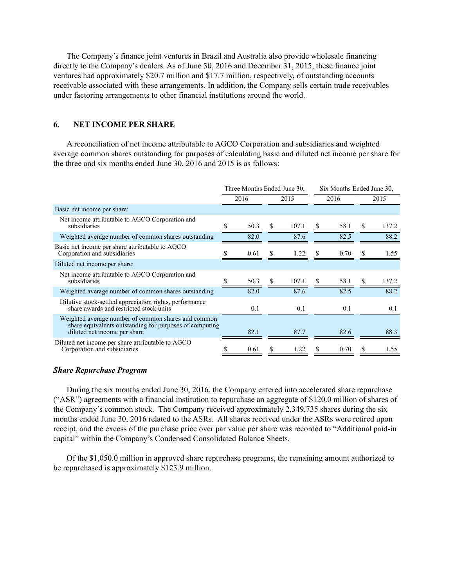The Company's finance joint ventures in Brazil and Australia also provide wholesale financing directly to the Company's dealers. As of June 30, 2016 and December 31, 2015, these finance joint ventures had approximately \$20.7 million and \$17.7 million, respectively, of outstanding accounts receivable associated with these arrangements. In addition, the Company sells certain trade receivables under factoring arrangements to other financial institutions around the world.

#### **6. NET INCOME PER SHARE**

A reconciliation of net income attributable to AGCO Corporation and subsidiaries and weighted average common shares outstanding for purposes of calculating basic and diluted net income per share for the three and six months ended June 30, 2016 and 2015 is as follows:

|                                                                                                                                                | Three Months Ended June 30, |      |      |       |      | Six Months Ended June 30. |   |       |
|------------------------------------------------------------------------------------------------------------------------------------------------|-----------------------------|------|------|-------|------|---------------------------|---|-------|
|                                                                                                                                                | 2016<br>2015                |      | 2016 |       | 2015 |                           |   |       |
| Basic net income per share:                                                                                                                    |                             |      |      |       |      |                           |   |       |
| Net income attributable to AGCO Corporation and<br>subsidiaries                                                                                |                             | 50.3 | S    | 107.1 | S    | 58.1                      | S | 137.2 |
| Weighted average number of common shares outstanding                                                                                           |                             | 82.0 |      | 87.6  |      | 82.5                      |   | 88.2  |
| Basic net income per share attributable to AGCO<br>Corporation and subsidiaries                                                                |                             | 0.61 | S    | 1.22  | S    | 0.70                      | S | 1.55  |
| Diluted net income per share:                                                                                                                  |                             |      |      |       |      |                           |   |       |
| Net income attributable to AGCO Corporation and<br>subsidiaries                                                                                |                             | 50.3 | \$.  | 107.1 | S    | 58.1                      | S | 137.2 |
| Weighted average number of common shares outstanding                                                                                           |                             | 82.0 |      | 87.6  |      | 82.5                      |   | 88.2  |
| Dilutive stock-settled appreciation rights, performance<br>share awards and restricted stock units                                             |                             | 0.1  |      | 0.1   |      | 0.1                       |   | 0.1   |
| Weighted average number of common shares and common<br>share equivalents outstanding for purposes of computing<br>diluted net income per share |                             | 82.1 |      | 87.7  |      | 82.6                      |   | 88.3  |
| Diluted net income per share attributable to AGCO<br>Corporation and subsidiaries                                                              |                             | 0.61 |      | 1.22  | S    | 0.70                      |   | 1.55  |

#### *Share Repurchase Program*

During the six months ended June 30, 2016, the Company entered into accelerated share repurchase ("ASR") agreements with a financial institution to repurchase an aggregate of \$120.0 million of shares of the Company's common stock. The Company received approximately 2,349,735 shares during the six months ended June 30, 2016 related to the ASRs. All shares received under the ASRs were retired upon receipt, and the excess of the purchase price over par value per share was recorded to "Additional paid-in capital" within the Company's Condensed Consolidated Balance Sheets.

Of the \$1,050.0 million in approved share repurchase programs, the remaining amount authorized to be repurchased is approximately \$123.9 million.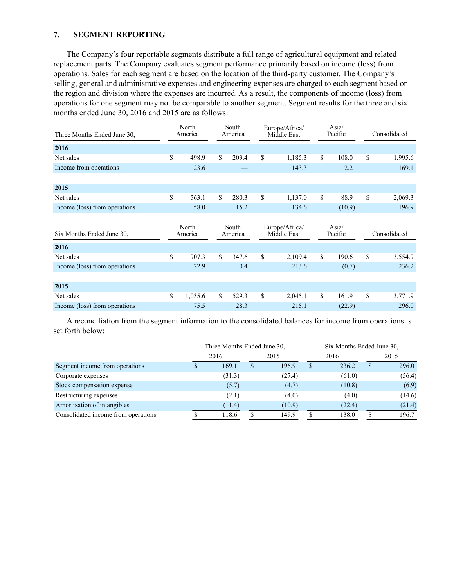#### **7. SEGMENT REPORTING**

The Company's four reportable segments distribute a full range of agricultural equipment and related replacement parts. The Company evaluates segment performance primarily based on income (loss) from operations. Sales for each segment are based on the location of the third-party customer. The Company's selling, general and administrative expenses and engineering expenses are charged to each segment based on the region and division where the expenses are incurred. As a result, the components of income (loss) from operations for one segment may not be comparable to another segment. Segment results for the three and six months ended June 30, 2016 and 2015 are as follows:

| Three Months Ended June 30,   | North<br>America | South<br>America | Europe/Africa/<br>Middle East |         | Asia/<br>Pacific |                  | Consolidated |              |
|-------------------------------|------------------|------------------|-------------------------------|---------|------------------|------------------|--------------|--------------|
| 2016                          |                  |                  |                               |         |                  |                  |              |              |
| Net sales                     | \$<br>498.9      | \$<br>203.4      | \$                            | 1,185.3 | \$               | 108.0            | \$           | 1,995.6      |
| Income from operations        | 23.6             |                  |                               | 143.3   |                  | 2.2              |              | 169.1        |
|                               |                  |                  |                               |         |                  |                  |              |              |
| 2015                          |                  |                  |                               |         |                  |                  |              |              |
| Net sales                     | \$<br>563.1      | \$<br>280.3      | \$                            | 1,137.0 | \$               | 88.9             | \$           | 2,069.3      |
| Income (loss) from operations | 58.0             | 15.2             |                               | 134.6   |                  | (10.9)           |              | 196.9        |
|                               |                  |                  | Europe/Africa/<br>Middle East |         |                  |                  |              |              |
| Six Months Ended June 30,     | North<br>America | South<br>America |                               |         |                  | Asia/<br>Pacific |              | Consolidated |
| 2016                          |                  |                  |                               |         |                  |                  |              |              |
| Net sales                     | \$<br>907.3      | \$<br>347.6      | \$                            | 2,109.4 | \$               | 190.6            | \$           | 3,554.9      |
| Income (loss) from operations | 22.9             | 0.4              |                               | 213.6   |                  | (0.7)            |              | 236.2        |
|                               |                  |                  |                               |         |                  |                  |              |              |
| 2015                          |                  |                  |                               |         |                  |                  |              |              |
| Net sales                     | \$<br>1,035.6    | \$<br>529.3      | \$                            | 2,045.1 | \$               | 161.9            | \$           | 3,771.9      |

A reconciliation from the segment information to the consolidated balances for income from operations is set forth below:

|                                     | Three Months Ended June 30, |        |  |        |  | Six Months Ended June 30, |      |        |  |
|-------------------------------------|-----------------------------|--------|--|--------|--|---------------------------|------|--------|--|
|                                     |                             | 2016   |  | 2015   |  | 2016                      | 2015 |        |  |
| Segment income from operations      |                             | 169.1  |  | 196.9  |  | 236.2                     |      | 296.0  |  |
| Corporate expenses                  |                             | (31.3) |  | (27.4) |  | (61.0)                    |      | (56.4) |  |
| Stock compensation expense          |                             | (5.7)  |  | (4.7)  |  | (10.8)                    |      | (6.9)  |  |
| Restructuring expenses              |                             | (2.1)  |  | (4.0)  |  | (4.0)                     |      | (14.6) |  |
| Amortization of intangibles         |                             | (11.4) |  | (10.9) |  | (22.4)                    |      | (21.4) |  |
| Consolidated income from operations |                             | 118.6  |  | 149.9  |  | 138.0                     |      | 196.7  |  |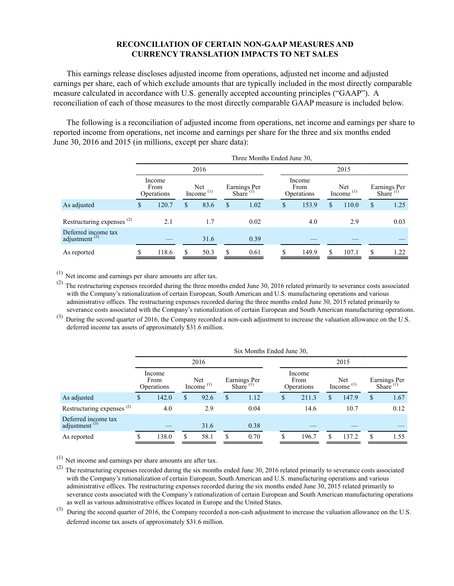#### **RECONCILIATION OF CERTAIN NON-GAAP MEASURES AND CURRENCY TRANSLATION IMPACTS TO NET SALES**

This earnings release discloses adjusted income from operations, adjusted net income and adjusted earnings per share, each of which exclude amounts that are typically included in the most directly comparable measure calculated in accordance with U.S. generally accepted accounting principles ("GAAP"). A reconciliation of each of those measures to the most directly comparable GAAP measure is included below.

The following is a reconciliation of adjusted income from operations, net income and earnings per share to reported income from operations, net income and earnings per share for the three and six months ended June 30, 2016 and 2015 (in millions, except per share data):

|                                                  | Three Months Ended June 30,  |       |                            |      |    |                             |  |                              |       |                            |       |  |                             |  |
|--------------------------------------------------|------------------------------|-------|----------------------------|------|----|-----------------------------|--|------------------------------|-------|----------------------------|-------|--|-----------------------------|--|
|                                                  |                              |       | 2016                       |      |    | 2015                        |  |                              |       |                            |       |  |                             |  |
|                                                  | Income<br>From<br>Operations |       | <b>Net</b><br>Income $(1)$ |      |    | Earnings Per<br>Share $(1)$ |  | Income<br>From<br>Operations |       | <b>Net</b><br>Income $(1)$ |       |  | Earnings Per<br>Share $(1)$ |  |
| As adjusted                                      | \$                           | 120.7 | \$                         | 83.6 | \$ | 1.02                        |  | 153.9<br>\$                  |       | \$                         | 110.0 |  | 1.25<br>S                   |  |
| Restructuring expenses <sup>(2)</sup>            |                              | 2.1   |                            | 1.7  |    | 0.02                        |  |                              | 4.0   |                            | 2.9   |  | 0.03                        |  |
| Deferred income tax<br>adjustment <sup>(3)</sup> |                              |       |                            | 31.6 |    | 0.39                        |  |                              |       |                            |       |  |                             |  |
| As reported                                      |                              | 118.6 | \$                         | 50.3 | \$ | 0.61                        |  |                              | 149.9 | \$                         | 107.1 |  | 1.22                        |  |

 $(1)$  Net income and earnings per share amounts are after tax.

(2)The restructuring expenses recorded during the three months ended June 30, 2016 related primarily to severance costs associated with the Company's rationalization of certain European, South American and U.S. manufacturing operations and various administrative offices. The restructuring expenses recorded during the three months ended June 30, 2015 related primarily to severance costs associated with the Company's rationalization of certain European and South American manufacturing operations.

(3) During the second quarter of 2016, the Company recorded a non-cash adjustment to increase the valuation allowance on the U.S. deferred income tax assets of approximately \$31.6 million.

|                                            |                              | Six Months Ended June 30, |                     |      |                             |      |  |                              |       |                     |       |                             |      |  |  |
|--------------------------------------------|------------------------------|---------------------------|---------------------|------|-----------------------------|------|--|------------------------------|-------|---------------------|-------|-----------------------------|------|--|--|
|                                            |                              |                           |                     | 2016 |                             |      |  | 2015                         |       |                     |       |                             |      |  |  |
|                                            | Income<br>From<br>Operations |                           | Net<br>Income $(1)$ |      | Earnings Per<br>Share $(1)$ |      |  | Income<br>From<br>Operations |       | Net<br>Income $(1)$ |       | Earnings Per<br>Share $(1)$ |      |  |  |
| As adjusted                                | \$                           | 142.0                     | \$                  | 92.6 | S                           | 1.12 |  | \$                           | 211.3 | \$                  | 147.9 | \$                          | 1.67 |  |  |
| Restructuring expenses <sup>(2)</sup>      |                              | 4.0                       |                     | 2.9  |                             | 0.04 |  |                              | 14.6  |                     | 10.7  |                             | 0.12 |  |  |
| Deferred income tax<br>adjustment $^{(3)}$ |                              |                           |                     | 31.6 |                             | 0.38 |  |                              |       |                     |       |                             |      |  |  |
| As reported                                |                              | 138.0                     |                     | 58.1 |                             | 0.70 |  |                              | 196.7 |                     | 137.2 |                             | 1.55 |  |  |

(1) Net income and earnings per share amounts are after tax.

<sup>(2)</sup> The restructuring expenses recorded during the six months ended June 30, 2016 related primarily to severance costs associated with the Company's rationalization of certain European, South American and U.S. manufacturing operations and various administrative offices. The restructuring expenses recorded during the six months ended June 30, 2015 related primarily to severance costs associated with the Company's rationalization of certain European and South American manufacturing operations as well as various administrative offices located in Europe and the United States.

(3) During the second quarter of 2016, the Company recorded a non-cash adjustment to increase the valuation allowance on the U.S. deferred income tax assets of approximately \$31.6 million.